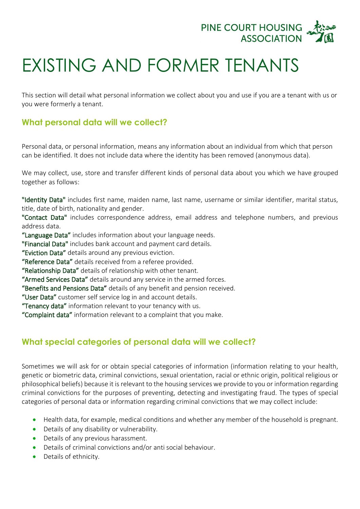

## EXISTING AND FORMER TENANTS

This section will detail what personal information we collect about you and use if you are a tenant with us or you were formerly a tenant.

## **What personal data will we collect?**

Personal data, or personal information, means any information about an individual from which that person can be identified. It does not include data where the identity has been removed (anonymous data).

We may collect, use, store and transfer different kinds of personal data about you which we have grouped together as follows:

"Identity Data" includes first name, maiden name, last name, username or similar identifier, marital status, title, date of birth, nationality and gender.

"Contact Data" includes correspondence address, email address and telephone numbers, and previous address data.

"Language Data" includes information about your language needs.

"Financial Data" includes bank account and payment card details.

"Eviction Data" details around any previous eviction.

"Reference Data" details received from a referee provided.

"Relationship Data" details of relationship with other tenant.

"Armed Services Data" details around any service in the armed forces.

"Benefits and Pensions Data" details of any benefit and pension received.

"User Data" customer self service log in and account details.

"Tenancy data" information relevant to your tenancy with us.

"Complaint data" information relevant to a complaint that you make.

## **What special categories of personal data will we collect?**

Sometimes we will ask for or obtain special categories of information (information relating to your health, genetic or biometric data, criminal convictions, sexual orientation, racial or ethnic origin, political religious or philosophical beliefs) because it is relevant to the housing services we provide to you or information regarding criminal convictions for the purposes of preventing, detecting and investigating fraud. The types of special categories of personal data or information regarding criminal convictions that we may collect include:

- Health data, for example, medical conditions and whether any member of the household is pregnant.
- Details of any disability or vulnerability.
- Details of any previous harassment.
- Details of criminal convictions and/or anti social behaviour.
- Details of ethnicity.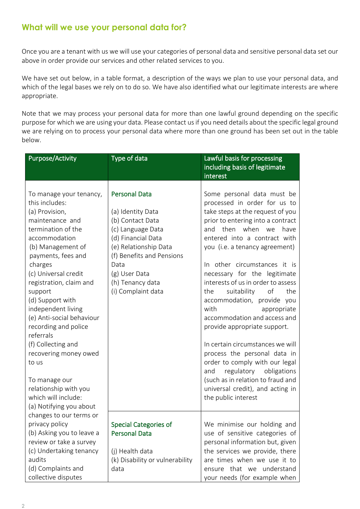## **What will we use your personal data for?**

Once you are a tenant with us we will use your categories of personal data and sensitive personal data set our above in order provide our services and other related services to you.

We have set out below, in a table format, a description of the ways we plan to use your personal data, and which of the legal bases we rely on to do so. We have also identified what our legitimate interests are where appropriate.

Note that we may process your personal data for more than one lawful ground depending on the specific purpose for which we are using your data. Please contact us if you need details about the specific legal ground we are relying on to process your personal data where more than one ground has been set out in the table below.

| Some personal data must be<br>processed in order for us to<br>take steps at the request of you<br>prior to entering into a contract<br>(c) Language Data<br>and then when we<br>have<br>(d) Financial Data<br>entered into a contract with<br>(e) Relationship Data<br>you (i.e. a tenancy agreement)                                                                                                                                                                                                                            |
|----------------------------------------------------------------------------------------------------------------------------------------------------------------------------------------------------------------------------------------------------------------------------------------------------------------------------------------------------------------------------------------------------------------------------------------------------------------------------------------------------------------------------------|
| (f) Benefits and Pensions<br>In other circumstances it is<br>necessary for the legitimate<br>interests of us in order to assess<br>(i) Complaint data<br>the<br>suitability<br>of<br>the<br>accommodation, provide you<br>with<br>appropriate<br>accommodation and access and<br>provide appropriate support.<br>In certain circumstances we will<br>process the personal data in<br>order to comply with our legal<br>regulatory<br>obligations<br>and<br>(such as in relation to fraud and<br>universal credit), and acting in |
| the public interest                                                                                                                                                                                                                                                                                                                                                                                                                                                                                                              |
| We minimise our holding and<br><b>Special Categories of</b><br>use of sensitive categories of<br>personal information but, given<br>the services we provide, there<br>(k) Disability or vulnerability<br>are times when we use it to                                                                                                                                                                                                                                                                                             |
|                                                                                                                                                                                                                                                                                                                                                                                                                                                                                                                                  |